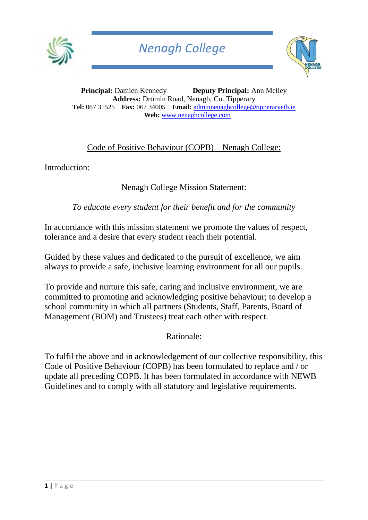



**Principal:** Damien Kennedy **Deputy Principal:** Ann Melley **Address:** Dromin Road, Nenagh, Co. Tipperary **Tel:** 067 31525 **Fax:** 067 34005 **Email:** [adminnenaghcollege@tipperaryetb.ie](mailto:adminnenaghcollege@tipperaryetb.ie)  **Web:** [www.nenaghcollege.com](http://www.nenaghcollege.com/)

## Code of Positive Behaviour (COPB) – Nenagh College:

Introduction:

### Nenagh College Mission Statement:

*To educate every student for their benefit and for the community*

In accordance with this mission statement we promote the values of respect, tolerance and a desire that every student reach their potential.

Guided by these values and dedicated to the pursuit of excellence, we aim always to provide a safe, inclusive learning environment for all our pupils.

To provide and nurture this safe, caring and inclusive environment, we are committed to promoting and acknowledging positive behaviour; to develop a school community in which all partners (Students, Staff, Parents, Board of Management (BOM) and Trustees) treat each other with respect.

Rationale:

To fulfil the above and in acknowledgement of our collective responsibility, this Code of Positive Behaviour (COPB) has been formulated to replace and / or update all preceding COPB. It has been formulated in accordance with NEWB Guidelines and to comply with all statutory and legislative requirements.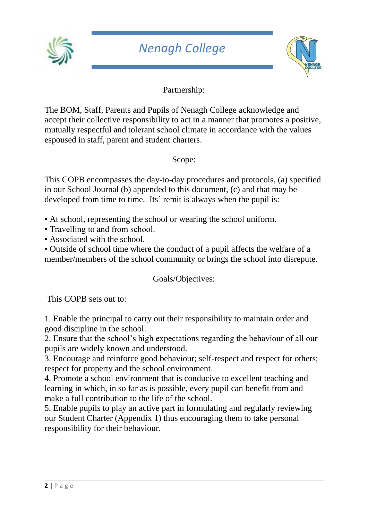



## Partnership:

The BOM, Staff, Parents and Pupils of Nenagh College acknowledge and accept their collective responsibility to act in a manner that promotes a positive, mutually respectful and tolerant school climate in accordance with the values espoused in staff, parent and student charters.

Scope:

This COPB encompasses the day-to-day procedures and protocols, (a) specified in our School Journal (b) appended to this document, (c) and that may be developed from time to time. Its' remit is always when the pupil is:

- At school, representing the school or wearing the school uniform.
- Travelling to and from school.
- Associated with the school.

• Outside of school time where the conduct of a pupil affects the welfare of a member/members of the school community or brings the school into disrepute.

Goals/Objectives:

This COPB sets out to:

1. Enable the principal to carry out their responsibility to maintain order and good discipline in the school.

2. Ensure that the school's high expectations regarding the behaviour of all our pupils are widely known and understood.

3. Encourage and reinforce good behaviour; self-respect and respect for others; respect for property and the school environment.

4. Promote a school environment that is conducive to excellent teaching and learning in which, in so far as is possible, every pupil can benefit from and make a full contribution to the life of the school.

5. Enable pupils to play an active part in formulating and regularly reviewing our Student Charter (Appendix 1) thus encouraging them to take personal responsibility for their behaviour.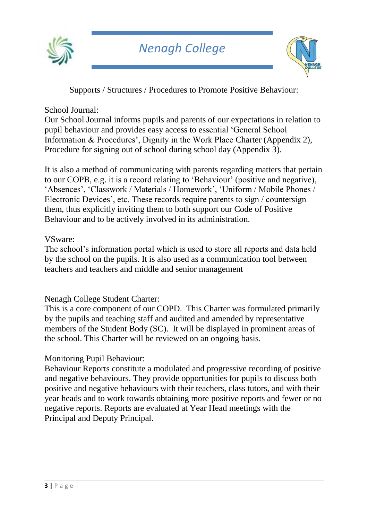



Supports / Structures / Procedures to Promote Positive Behaviour:

#### School Journal:

Our School Journal informs pupils and parents of our expectations in relation to pupil behaviour and provides easy access to essential 'General School Information & Procedures', Dignity in the Work Place Charter (Appendix 2), Procedure for signing out of school during school day (Appendix 3).

It is also a method of communicating with parents regarding matters that pertain to our COPB, e.g. it is a record relating to 'Behaviour' (positive and negative), 'Absences', 'Classwork / Materials / Homework', 'Uniform / Mobile Phones / Electronic Devices', etc. These records require parents to sign / countersign them, thus explicitly inviting them to both support our Code of Positive Behaviour and to be actively involved in its administration.

#### VSware:

The school's information portal which is used to store all reports and data held by the school on the pupils. It is also used as a communication tool between teachers and teachers and middle and senior management

#### Nenagh College Student Charter:

This is a core component of our COPD. This Charter was formulated primarily by the pupils and teaching staff and audited and amended by representative members of the Student Body (SC). It will be displayed in prominent areas of the school. This Charter will be reviewed on an ongoing basis.

## Monitoring Pupil Behaviour:

Behaviour Reports constitute a modulated and progressive recording of positive and negative behaviours. They provide opportunities for pupils to discuss both positive and negative behaviours with their teachers, class tutors, and with their year heads and to work towards obtaining more positive reports and fewer or no negative reports. Reports are evaluated at Year Head meetings with the Principal and Deputy Principal.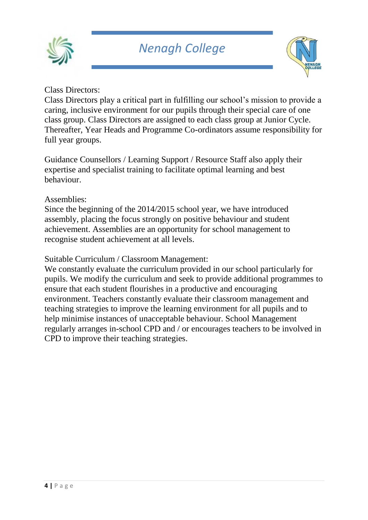



## Class Directors:

Class Directors play a critical part in fulfilling our school's mission to provide a caring, inclusive environment for our pupils through their special care of one class group. Class Directors are assigned to each class group at Junior Cycle. Thereafter, Year Heads and Programme Co-ordinators assume responsibility for full year groups.

Guidance Counsellors / Learning Support / Resource Staff also apply their expertise and specialist training to facilitate optimal learning and best behaviour.

#### Assemblies:

Since the beginning of the 2014/2015 school year, we have introduced assembly, placing the focus strongly on positive behaviour and student achievement. Assemblies are an opportunity for school management to recognise student achievement at all levels.

#### Suitable Curriculum / Classroom Management:

We constantly evaluate the curriculum provided in our school particularly for pupils. We modify the curriculum and seek to provide additional programmes to ensure that each student flourishes in a productive and encouraging environment. Teachers constantly evaluate their classroom management and teaching strategies to improve the learning environment for all pupils and to help minimise instances of unacceptable behaviour. School Management regularly arranges in-school CPD and / or encourages teachers to be involved in CPD to improve their teaching strategies.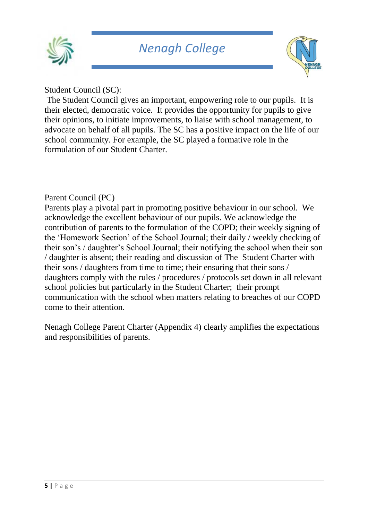



Student Council (SC):

The Student Council gives an important, empowering role to our pupils. It is their elected, democratic voice. It provides the opportunity for pupils to give their opinions, to initiate improvements, to liaise with school management, to advocate on behalf of all pupils. The SC has a positive impact on the life of our school community. For example, the SC played a formative role in the formulation of our Student Charter.

### Parent Council (PC)

Parents play a pivotal part in promoting positive behaviour in our school. We acknowledge the excellent behaviour of our pupils. We acknowledge the contribution of parents to the formulation of the COPD; their weekly signing of the 'Homework Section' of the School Journal; their daily / weekly checking of their son's / daughter's School Journal; their notifying the school when their son / daughter is absent; their reading and discussion of The Student Charter with their sons / daughters from time to time; their ensuring that their sons / daughters comply with the rules / procedures / protocols set down in all relevant school policies but particularly in the Student Charter; their prompt communication with the school when matters relating to breaches of our COPD come to their attention.

Nenagh College Parent Charter (Appendix 4) clearly amplifies the expectations and responsibilities of parents.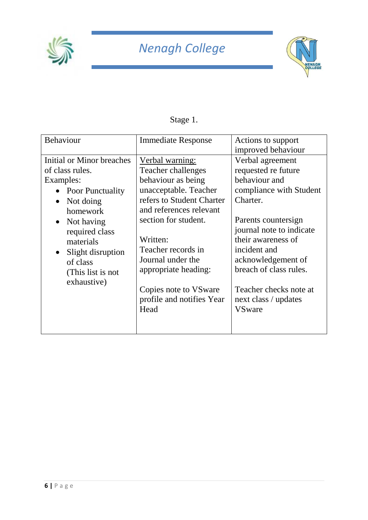



# Stage 1.

| <b>Behaviour</b>          | <b>Immediate Response</b> | Actions to support<br>improved behaviour |
|---------------------------|---------------------------|------------------------------------------|
| Initial or Minor breaches | Verbal warning:           | Verbal agreement                         |
| of class rules.           | Teacher challenges        | requested re future                      |
| Examples:                 | behaviour as being        | behaviour and                            |
| • Poor Punctuality        | unacceptable. Teacher     | compliance with Student                  |
| Not doing                 | refers to Student Charter | Charter.                                 |
| homework                  | and references relevant   | Parents countersign                      |
| Not having                | section for student.      | journal note to indicate                 |
| $\bullet$                 | Written:                  | their awareness of                       |
| required class            | Teacher records in        | incident and                             |
| materials                 | Journal under the         | acknowledgement of                       |
| Slight disruption         | appropriate heading:      | breach of class rules.                   |
| of class                  | Copies note to VS ware    | Teacher checks note at                   |
| (This list is not         | profile and notifies Year | next class / updates                     |
| exhaustive)               | Head                      | <b>VSware</b>                            |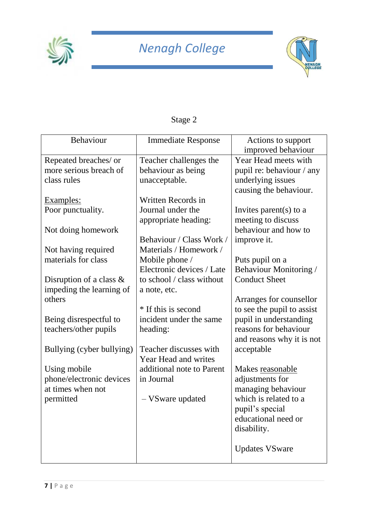



| Stage: |  |
|--------|--|
|--------|--|

| Behaviour                  | <b>Immediate Response</b> | Actions to support<br>improved behaviour |
|----------------------------|---------------------------|------------------------------------------|
|                            |                           |                                          |
| Repeated breaches/ or      | Teacher challenges the    | Year Head meets with                     |
| more serious breach of     | behaviour as being        | pupil re: behaviour / any                |
| class rules                | unacceptable.             | underlying issues                        |
|                            |                           | causing the behaviour.                   |
| Examples:                  | Written Records in        |                                          |
| Poor punctuality.          | Journal under the         | Invites parent(s) to a                   |
|                            | appropriate heading:      | meeting to discuss                       |
| Not doing homework         |                           | behaviour and how to                     |
|                            | Behaviour / Class Work /  | improve it.                              |
| Not having required        | Materials / Homework /    |                                          |
| materials for class        | Mobile phone /            | Puts pupil on a                          |
|                            | Electronic devices / Late | Behaviour Monitoring /                   |
|                            | to school / class without | <b>Conduct Sheet</b>                     |
| Disruption of a class $\&$ |                           |                                          |
| impeding the learning of   | a note, etc.              |                                          |
| others                     |                           | Arranges for counsellor                  |
|                            | * If this is second       | to see the pupil to assist               |
| Being disrespectful to     | incident under the same   | pupil in understanding                   |
| teachers/other pupils      | heading:                  | reasons for behaviour                    |
|                            |                           | and reasons why it is not                |
| Bullying (cyber bullying)  | Teacher discusses with    | acceptable                               |
|                            | Year Head and writes      |                                          |
| Using mobile               | additional note to Parent | Makes reasonable                         |
| phone/electronic devices   | in Journal                | adjustments for                          |
| at times when not          |                           | managing behaviour                       |
| permitted                  | - VSware updated          | which is related to a                    |
|                            |                           | pupil's special                          |
|                            |                           | educational need or                      |
|                            |                           | disability.                              |
|                            |                           |                                          |
|                            |                           | <b>Updates VSware</b>                    |
|                            |                           |                                          |
|                            |                           |                                          |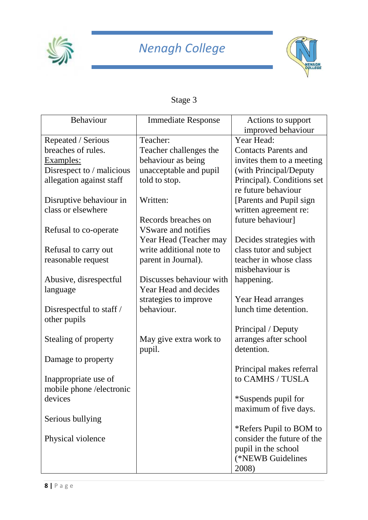



## Stage 3

| Behaviour                 | <b>Immediate Response</b>  | Actions to support          |
|---------------------------|----------------------------|-----------------------------|
|                           |                            | improved behaviour          |
| Repeated / Serious        | Teacher:                   | Year Head:                  |
| breaches of rules.        | Teacher challenges the     | <b>Contacts Parents and</b> |
| Examples:                 | behaviour as being         | invites them to a meeting   |
| Disrespect to / malicious | unacceptable and pupil     | (with Principal/Deputy      |
| allegation against staff  | told to stop.              | Principal). Conditions set  |
|                           |                            | re future behaviour         |
| Disruptive behaviour in   | Written:                   | [Parents and Pupil sign     |
| class or elsewhere        |                            | written agreement re:       |
|                           | Records breaches on        | future behaviour]           |
| Refusal to co-operate     | <b>VSware and notifies</b> |                             |
|                           | Year Head (Teacher may     | Decides strategies with     |
| Refusal to carry out      | write additional note to   | class tutor and subject     |
| reasonable request        | parent in Journal).        | teacher in whose class      |
|                           |                            | misbehaviour is             |
| Abusive, disrespectful    | Discusses behaviour with   | happening.                  |
| language                  | Year Head and decides      |                             |
|                           | strategies to improve      | Year Head arranges          |
| Disrespectful to staff /  | behaviour.                 | lunch time detention.       |
| other pupils              |                            |                             |
|                           |                            | Principal / Deputy          |
| Stealing of property      | May give extra work to     | arranges after school       |
|                           | pupil.                     | detention.                  |
| Damage to property        |                            |                             |
|                           |                            | Principal makes referral    |
| Inappropriate use of      |                            | to CAMHS / TUSLA            |
| mobile phone /electronic  |                            |                             |
| devices                   |                            | *Suspends pupil for         |
|                           |                            | maximum of five days.       |
| Serious bullying          |                            |                             |
|                           |                            | *Refers Pupil to BOM to     |
| Physical violence         |                            | consider the future of the  |
|                           |                            | pupil in the school         |
|                           |                            | (*NEWB Guidelines           |
|                           |                            | 2008)                       |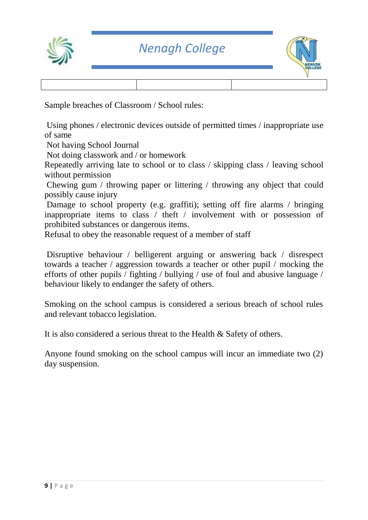



Sample breaches of Classroom / School rules:

Using phones / electronic devices outside of permitted times / inappropriate use of same

Not having School Journal

Not doing classwork and / or homework

Repeatedly arriving late to school or to class / skipping class / leaving school without permission

Chewing gum / throwing paper or littering / throwing any object that could possibly cause injury

Damage to school property (e.g. graffiti); setting off fire alarms / bringing inappropriate items to class / theft / involvement with or possession of prohibited substances or dangerous items.

Refusal to obey the reasonable request of a member of staff

Disruptive behaviour / belligerent arguing or answering back / disrespect towards a teacher / aggression towards a teacher or other pupil / mocking the efforts of other pupils / fighting / bullying / use of foul and abusive language / behaviour likely to endanger the safety of others.

Smoking on the school campus is considered a serious breach of school rules and relevant tobacco legislation.

It is also considered a serious threat to the Health & Safety of others.

Anyone found smoking on the school campus will incur an immediate two (2) day suspension.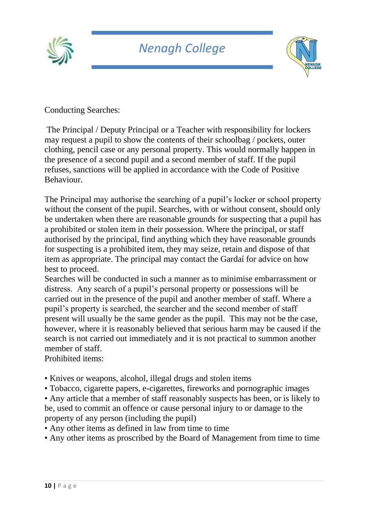



Conducting Searches:

The Principal / Deputy Principal or a Teacher with responsibility for lockers may request a pupil to show the contents of their schoolbag / pockets, outer clothing, pencil case or any personal property. This would normally happen in the presence of a second pupil and a second member of staff. If the pupil refuses, sanctions will be applied in accordance with the Code of Positive Behaviour.

The Principal may authorise the searching of a pupil's locker or school property without the consent of the pupil. Searches, with or without consent, should only be undertaken when there are reasonable grounds for suspecting that a pupil has a prohibited or stolen item in their possession. Where the principal, or staff authorised by the principal, find anything which they have reasonable grounds for suspecting is a prohibited item, they may seize, retain and dispose of that item as appropriate. The principal may contact the Gardaí for advice on how best to proceed.

Searches will be conducted in such a manner as to minimise embarrassment or distress. Any search of a pupil's personal property or possessions will be carried out in the presence of the pupil and another member of staff. Where a pupil's property is searched, the searcher and the second member of staff present will usually be the same gender as the pupil. This may not be the case, however, where it is reasonably believed that serious harm may be caused if the search is not carried out immediately and it is not practical to summon another member of staff.

Prohibited items:

- Knives or weapons, alcohol, illegal drugs and stolen items
- Tobacco, cigarette papers, e-cigarettes, fireworks and pornographic images

• Any article that a member of staff reasonably suspects has been, or is likely to be, used to commit an offence or cause personal injury to or damage to the property of any person (including the pupil)

- Any other items as defined in law from time to time
- Any other items as proscribed by the Board of Management from time to time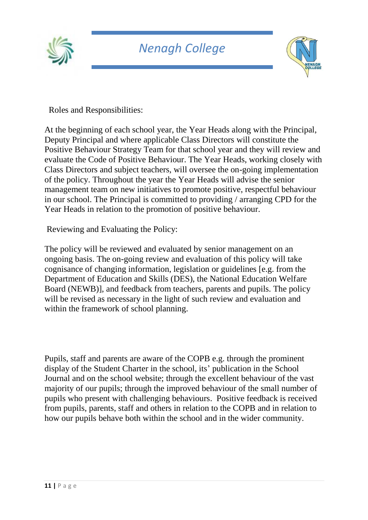



Roles and Responsibilities:

At the beginning of each school year, the Year Heads along with the Principal, Deputy Principal and where applicable Class Directors will constitute the Positive Behaviour Strategy Team for that school year and they will review and evaluate the Code of Positive Behaviour. The Year Heads, working closely with Class Directors and subject teachers, will oversee the on-going implementation of the policy. Throughout the year the Year Heads will advise the senior management team on new initiatives to promote positive, respectful behaviour in our school. The Principal is committed to providing / arranging CPD for the Year Heads in relation to the promotion of positive behaviour.

Reviewing and Evaluating the Policy:

The policy will be reviewed and evaluated by senior management on an ongoing basis. The on-going review and evaluation of this policy will take cognisance of changing information, legislation or guidelines [e.g. from the Department of Education and Skills (DES), the National Education Welfare Board (NEWB)], and feedback from teachers, parents and pupils. The policy will be revised as necessary in the light of such review and evaluation and within the framework of school planning.

Pupils, staff and parents are aware of the COPB e.g. through the prominent display of the Student Charter in the school, its' publication in the School Journal and on the school website; through the excellent behaviour of the vast majority of our pupils; through the improved behaviour of the small number of pupils who present with challenging behaviours. Positive feedback is received from pupils, parents, staff and others in relation to the COPB and in relation to how our pupils behave both within the school and in the wider community.